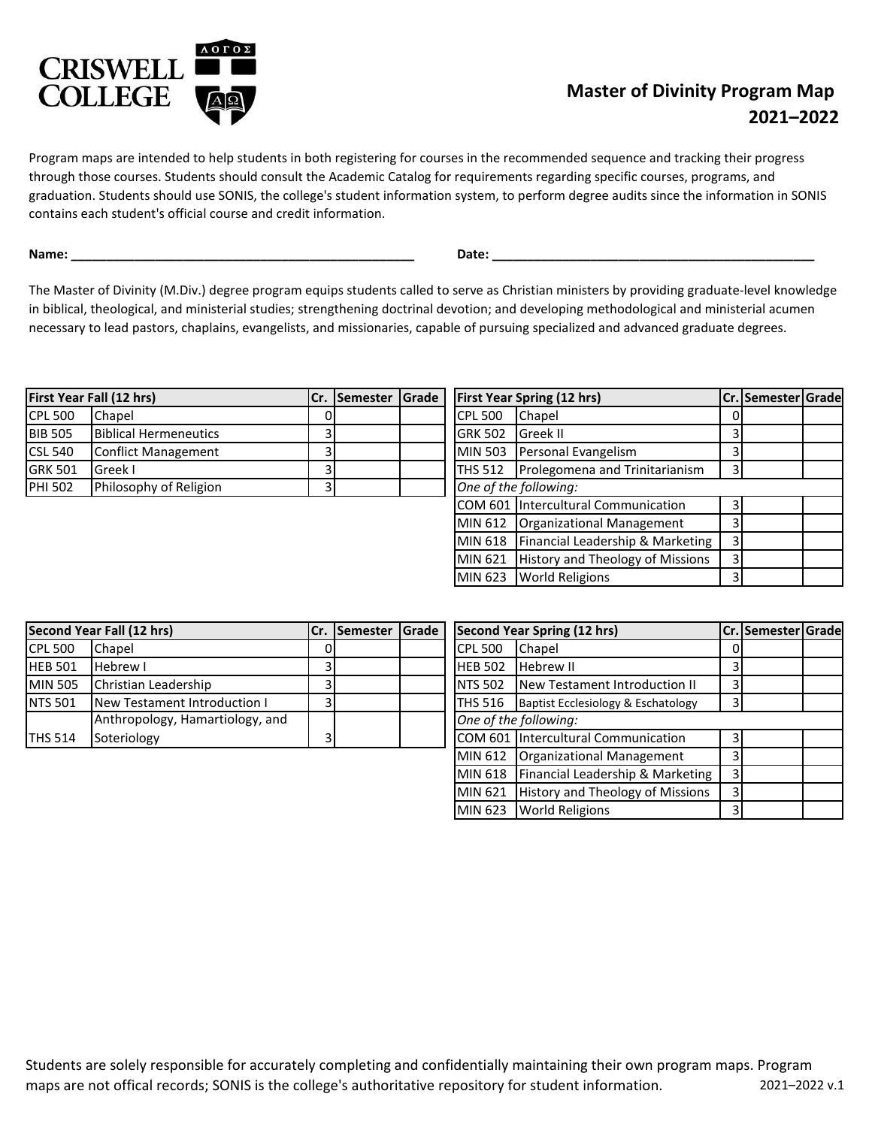

## **Master of Divinity Program Map 2021–2022**

Program maps are intended to help students in both registering for courses in the recommended sequence and tracking their progress through those courses. Students should consult the Academic Catalog for requirements regarding specific courses, programs, and graduation. Students should use SONIS, the college's student information system, to perform degree audits since the information in SONIS contains each student's official course and credit information.

**Name: \_\_\_\_\_\_\_\_\_\_\_\_\_\_\_\_\_\_\_\_\_\_\_\_\_\_\_\_\_\_\_\_\_\_\_\_\_\_\_\_\_\_\_\_\_\_\_\_\_ Date: \_\_\_\_\_\_\_\_\_\_\_\_\_\_\_\_\_\_\_\_\_\_\_\_\_\_\_\_\_\_\_\_\_\_\_\_\_\_\_\_\_\_\_\_\_\_**

The Master of Divinity (M.Div.) degree program equips students called to serve as Christian ministers by providing graduate-level knowledge in biblical, theological, and ministerial studies; strengthening doctrinal devotion; and developing methodological and ministerial acumen necessary to lead pastors, chaplains, evangelists, and missionaries, capable of pursuing specialized and advanced graduate degrees.

| <b>First Year Fall (12 hrs)</b> |                              |  |  |                          | Cr. Semester Grade   First Year Spring (12 hrs) | lCr. |
|---------------------------------|------------------------------|--|--|--------------------------|-------------------------------------------------|------|
| <b>CPL 500</b>                  | Chapel                       |  |  | <b>CPL 500</b>           | <b>Chapel</b>                                   |      |
| <b>BIB 505</b>                  | <b>Biblical Hermeneutics</b> |  |  | <b>IGRK 502 Greek II</b> |                                                 |      |
| <b>CSL 540</b>                  | Conflict Management          |  |  |                          | MIN 503 Personal Evangelism                     |      |
| <b>GRK 501</b>                  | Greek I                      |  |  |                          | <b>THS 512</b> Prolegomena and Trinitarianism   |      |
| <b>PHI 502</b>                  | Philosophy of Religion       |  |  | One of the following:    |                                                 |      |

| Cr.            | Semester | Grade   |                                  | <b>First Year Spring (12 hrs)</b>   |   | Cr. Semester Grade |  |
|----------------|----------|---------|----------------------------------|-------------------------------------|---|--------------------|--|
|                |          |         | <b>CPL 500</b>                   | Chapel                              |   |                    |  |
| 3              |          |         | <b>GRK 502</b>                   | Greek II                            |   |                    |  |
| 3              |          |         | <b>MIN 503</b>                   | Personal Evangelism                 |   |                    |  |
| $\overline{3}$ |          |         | <b>THS 512</b>                   | Prolegomena and Trinitarianism      | 3 |                    |  |
| 3              |          |         |                                  | One of the following:               |   |                    |  |
|                |          |         |                                  | COM 601 Intercultural Communication | 3 |                    |  |
|                |          |         | MIN 612                          | Organizational Management           | 3 |                    |  |
|                |          |         | MIN 618                          | Financial Leadership & Marketing    | 3 |                    |  |
|                |          | MIN 621 | History and Theology of Missions | 3                                   |   |                    |  |
|                |          |         | MIN 623                          | <b>World Religions</b>              |   |                    |  |

| Second Year Fall (12 hrs) |                                 |    | Cr. Semester Grade |                       |                                    | Second Year Spring (12 hrs)          | lCr. |
|---------------------------|---------------------------------|----|--------------------|-----------------------|------------------------------------|--------------------------------------|------|
| <b>CPL 500</b>            | <b>Chapel</b>                   | DΙ |                    |                       | ICPL 500                           | <b>Chapel</b>                        |      |
| <b>HEB 501</b>            | <b>Hebrew I</b>                 |    |                    |                       | <b>Hebrew II</b><br><b>HEB 502</b> |                                      |      |
| <b>MIN 505</b>            | Christian Leadership            |    |                    |                       | <b>INTS 502</b>                    | <b>New Testament Introduction II</b> | 3    |
| <b>NTS 501</b>            | New Testament Introduction I    |    |                    |                       | <b>ITHS 516</b>                    | Baptist Ecclesiology & Eschatology   | 3    |
|                           | Anthropology, Hamartiology, and |    |                    | One of the following: |                                    |                                      |      |
| <b>ITHS 514</b>           | Soteriology                     |    |                    |                       |                                    | COM 601 Intercultural Communication  |      |

|                | Cr. Semester | Grade |                | Second Year Spring (12 hrs)             |                | Cr. Semester Grade |  |
|----------------|--------------|-------|----------------|-----------------------------------------|----------------|--------------------|--|
|                |              |       | <b>CPL 500</b> | Chapel                                  | 0              |                    |  |
| 3              |              |       | <b>HEB 502</b> | <b>Hebrew II</b>                        |                |                    |  |
| $\overline{3}$ |              |       | <b>NTS 502</b> | New Testament Introduction II           | 3              |                    |  |
| $\overline{3}$ |              |       | <b>THS 516</b> | Baptist Ecclesiology & Eschatology      | 3              |                    |  |
|                |              |       |                | One of the following:                   |                |                    |  |
| 3              |              |       |                | COM 601 Intercultural Communication     | 3              |                    |  |
|                |              |       | MIN 612        | Organizational Management               | 3              |                    |  |
|                |              |       | MIN 618        | Financial Leadership & Marketing        | $\overline{3}$ |                    |  |
|                |              |       | MIN 621        | <b>History and Theology of Missions</b> | 3              |                    |  |
|                |              |       | MIN 623        | <b>World Religions</b>                  | ੨              |                    |  |